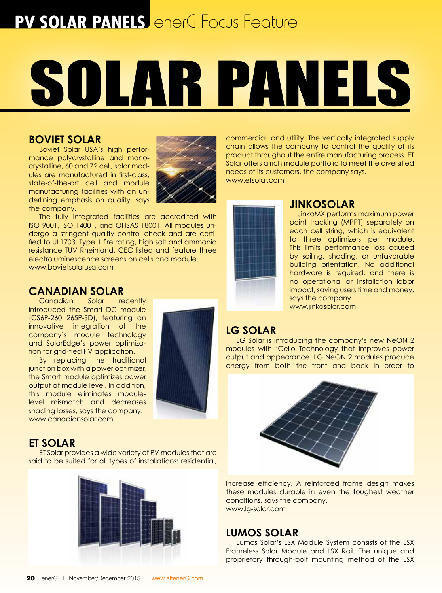## **PV SOLAR PANELS** enerG Focus Feature

# Solar Panels

#### **Boviet Solar**

Boviet Solar USA's high performance polycrystalline and monocrystalline, 60 and 72 cell, solar modules are manufactured in first-class, state-of-the-art cell and module manufacturing facilities with an underlining emphasis on quality, says the company.



The fully integrated facilities are accredited with ISO 9001, ISO 14001, and OHSAS 18001. All modules undergo a stringent quality control check and are certified to UL1703, Type 1 fire rating, high salt and ammonia resistance TUV Rheinland, CEC listed and feature three electroluminescence screens on cells and module. www.bovietsolarusa.com

## **CANADIAN SOLAR**<br>Canadian Solar recently

Canadian introduced the Smart DC module (CS6P-260|265P-SD), featuring an innovative integration of the company's module technology and SolarEdge's power optimization for grid-tied PV application.

By replacing the traditional junction box with a power optimizer, the Smart module optimizes power output at module level. In addition, this module eliminates modulelevel mismatch and decreases shading losses, says the company. www.canadiansolar.com



#### **ET Solar**

ET Solar provides a wide variety of PV modules that are said to be suited for all types of installations: residential,



commercial, and utility. The vertically integrated supply chain allows the company to control the quality of its product throughout the entire manufacturing process. ET Solar offers a rich module portfolio to meet the diversified needs of its customers, the company says. www.etsolar.com



#### **JinkoSolar**

 JinkoMX performs maximum power point tracking (MPPT) separately on each cell string, which is equivalent to three optimizers per module. This limits performance loss caused by soiling, shading, or unfavorable building orientation. No additional hardware is required, and there is no operational or installation labor impact, saving users time and money, says the company. www.jinkosolar.com

#### **LG Solar**

LG Solar is introducing the company's new NeON 2 modules with 'Cello Technology that improves power output and appearance. LG NeON 2 modules produce energy from both the front and back in order to



increase efficiency. A reinforced frame design makes these modules durable in even the toughest weather conditions, says the company. www.lg-solar.com

#### **Lumos Solar**

Lumos Solar's LSX Module System consists of the LSX Frameless Solar Module and LSX Rail. The unique and proprietary through-bolt mounting method of the LSX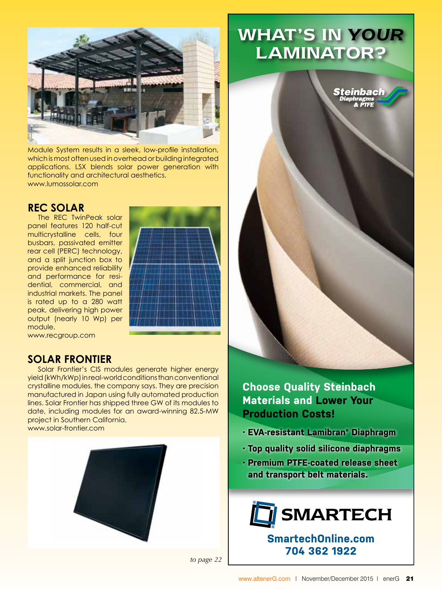

Module System results in a sleek, low-profile installation, which is most often used in overhead or building integrated applications. LSX blends solar power generation with functionality and architectural aesthetics. www.lumossolar.com

#### **REC Solar**

The REC TwinPeak solar panel features 120 half-cut multicrystalline cells, four busbars, passivated emitter rear cell (PERC) technology, and a split junction box to provide enhanced reliability and performance for residential, commercial, and industrial markets. The panel is rated up to a 280 watt peak, delivering high power output (nearly 10 Wp) per module.



www.recgroup.com

#### **Solar Frontier**

Solar Frontier's CIS modules generate higher energy yield (kWh/kWp) in real-world conditions than conventional crystalline modules, the company says. They are precision manufactured in Japan using fully automated production lines. Solar Frontier has shipped three GW of its modules to date, including modules for an award-winning 82.5-MW project in Southern California. www.solar-frontier.com

## What's in *YOUR* LAMINATOR?



**Choose Quality Steinbach Materials and Lower Your Production Costs!**

- **· EVA-resistant Lamibran® Diaphragm**
- **· Top quality solid silicone diaphragms**
- **· Premium PTFE-coated release sheet and transport belt materials.**



**SmartechOnline.com 704 362 1922**

*to page 22*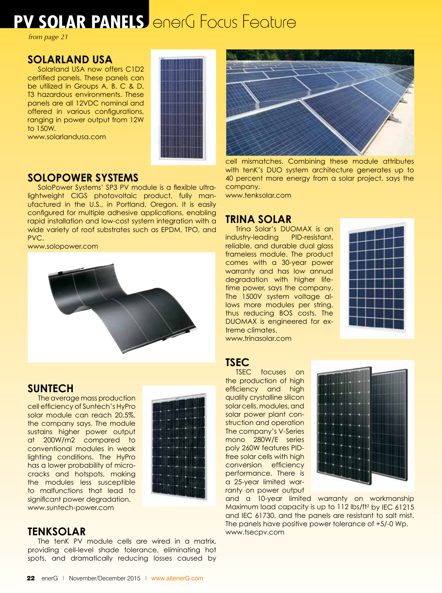## **PV SOLAR PANELS** enerG Focus Feature

*from page 21*

#### **Solarland USA**

Solarland USA now offers C1D2 certified panels. These panels can be utilized in Groups A, B, C & D, T3 hazardous environments. These panels are all 12VDC nominal and offered in various configurations, ranging in power output from 12W to 150W.

www.solarlandusa.com



#### **SoloPower Systems**

SoloPower Systems' SP3 PV module is a flexible ultralightweight CIGS photovoltaic product, fully manufactured in the U.S., in Portland, Oregon. It is easily configured for multiple adhesive applications, enabling rapid installation and low-cost system integration with a wide variety of roof substrates such as EPDM, TPO, and PVC.

www.solopower.com



#### **Suntech**

The average mass production cell efficiency of Suntech's HyPro solar module can reach 20.5%, the company says. The module sustains higher power output at 200W/m2 compared to conventional modules in weak lighting conditions. The HyPro has a lower probability of microcracks and hotspots, making the modules less susceptible to malfunctions that lead to significant power degradation. www.suntech-power.com



#### **tenKsolar**

The tenK PV module cells are wired in a matrix, providing cell-level shade tolerance, eliminating hot spots, and dramatically reducing losses caused by



cell mismatches. Combining these module attributes with tenK's DUO system architecture generates up to 40 percent more energy from a solar project, says the company.

www.tenksolar.com

### **Trina Solar**

Trina Solar's DUOMAX is an industry-leading PID-resistant, reliable, and durable dual glass frameless module. The product comes with a 30-year power warranty and has low annual degradation with higher lifetime power, says the company. The 1500V system voltage allows more modules per string, thus reducing BOS costs. The DUOMAX is engineered for extreme climates. www.trinasolar.com



#### **TSEC**

TSEC focuses on the production of high efficiency and high quality crystalline silicon solar cells, modules, and solar power plant construction and operation The company's V-Series mono 280W/E series poly 260W features PIDfree solar cells with high conversion efficiency performance. There is a 25-year limited warranty on power output



and a 10-year limited warranty on workmanship Maximum load capacity is up to 112 lbs/ft<sup>2</sup> by IEC 61215 and IEC 61730, and the panels are resistant to salt mist. The panels have positive power tolerance of +5/-0 Wp. www.tsecpv.com